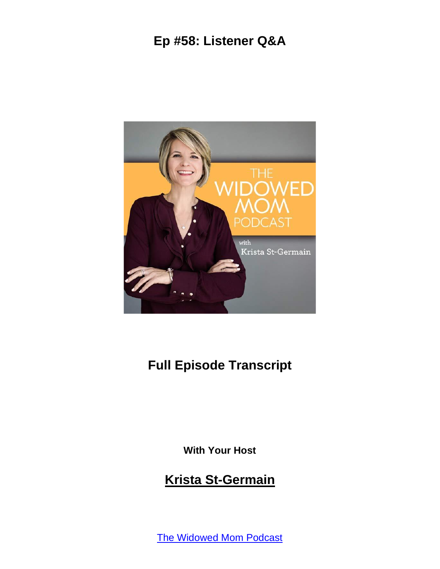

#### **Full Episode Transcript**

**With Your Host**

#### **Krista St-Germain**

The [Widowed](https://coachingwithkrista.com/podcast) Mom Podcast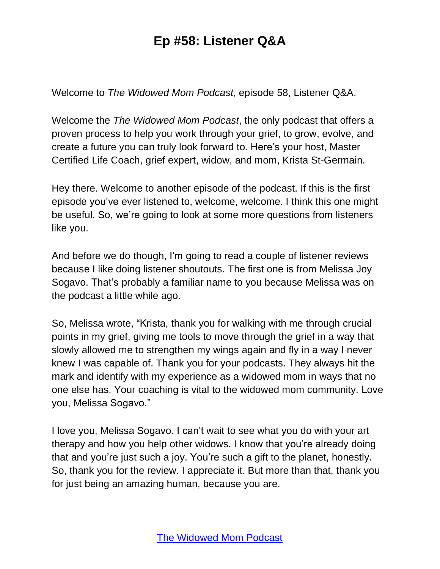Welcome to *The Widowed Mom Podcast*, episode 58, Listener Q&A.

Welcome the *The Widowed Mom Podcast*, the only podcast that offers a proven process to help you work through your grief, to grow, evolve, and create a future you can truly look forward to. Here's your host, Master Certified Life Coach, grief expert, widow, and mom, Krista St-Germain.

Hey there. Welcome to another episode of the podcast. If this is the first episode you've ever listened to, welcome, welcome. I think this one might be useful. So, we're going to look at some more questions from listeners like you.

And before we do though, I'm going to read a couple of listener reviews because I like doing listener shoutouts. The first one is from Melissa Joy Sogavo. That's probably a familiar name to you because Melissa was on the podcast a little while ago.

So, Melissa wrote, "Krista, thank you for walking with me through crucial points in my grief, giving me tools to move through the grief in a way that slowly allowed me to strengthen my wings again and fly in a way I never knew I was capable of. Thank you for your podcasts. They always hit the mark and identify with my experience as a widowed mom in ways that no one else has. Your coaching is vital to the widowed mom community. Love you, Melissa Sogavo."

I love you, Melissa Sogavo. I can't wait to see what you do with your art therapy and how you help other widows. I know that you're already doing that and you're just such a joy. You're such a gift to the planet, honestly. So, thank you for the review. I appreciate it. But more than that, thank you for just being an amazing human, because you are.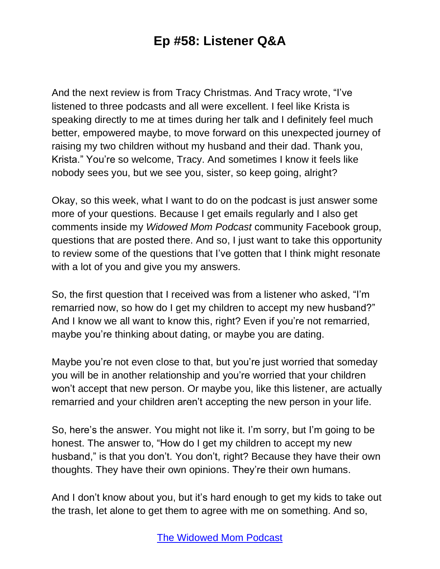And the next review is from Tracy Christmas. And Tracy wrote, "I've listened to three podcasts and all were excellent. I feel like Krista is speaking directly to me at times during her talk and I definitely feel much better, empowered maybe, to move forward on this unexpected journey of raising my two children without my husband and their dad. Thank you, Krista." You're so welcome, Tracy. And sometimes I know it feels like nobody sees you, but we see you, sister, so keep going, alright?

Okay, so this week, what I want to do on the podcast is just answer some more of your questions. Because I get emails regularly and I also get comments inside my *Widowed Mom Podcast* community Facebook group, questions that are posted there. And so, I just want to take this opportunity to review some of the questions that I've gotten that I think might resonate with a lot of you and give you my answers.

So, the first question that I received was from a listener who asked, "I'm remarried now, so how do I get my children to accept my new husband?" And I know we all want to know this, right? Even if you're not remarried, maybe you're thinking about dating, or maybe you are dating.

Maybe you're not even close to that, but you're just worried that someday you will be in another relationship and you're worried that your children won't accept that new person. Or maybe you, like this listener, are actually remarried and your children aren't accepting the new person in your life.

So, here's the answer. You might not like it. I'm sorry, but I'm going to be honest. The answer to, "How do I get my children to accept my new husband," is that you don't. You don't, right? Because they have their own thoughts. They have their own opinions. They're their own humans.

And I don't know about you, but it's hard enough to get my kids to take out the trash, let alone to get them to agree with me on something. And so,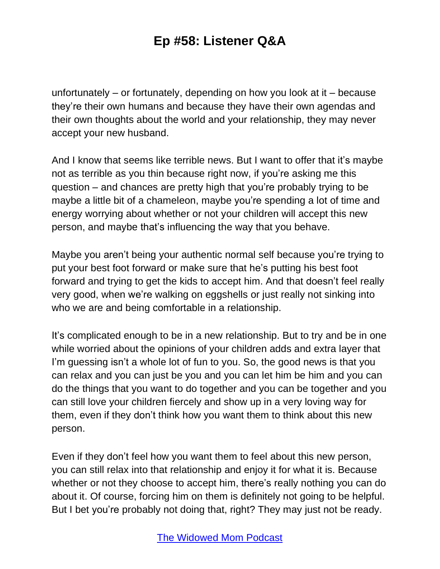unfortunately – or fortunately, depending on how you look at it – because they're their own humans and because they have their own agendas and their own thoughts about the world and your relationship, they may never accept your new husband.

And I know that seems like terrible news. But I want to offer that it's maybe not as terrible as you thin because right now, if you're asking me this question – and chances are pretty high that you're probably trying to be maybe a little bit of a chameleon, maybe you're spending a lot of time and energy worrying about whether or not your children will accept this new person, and maybe that's influencing the way that you behave.

Maybe you aren't being your authentic normal self because you're trying to put your best foot forward or make sure that he's putting his best foot forward and trying to get the kids to accept him. And that doesn't feel really very good, when we're walking on eggshells or just really not sinking into who we are and being comfortable in a relationship.

It's complicated enough to be in a new relationship. But to try and be in one while worried about the opinions of your children adds and extra layer that I'm guessing isn't a whole lot of fun to you. So, the good news is that you can relax and you can just be you and you can let him be him and you can do the things that you want to do together and you can be together and you can still love your children fiercely and show up in a very loving way for them, even if they don't think how you want them to think about this new person.

Even if they don't feel how you want them to feel about this new person, you can still relax into that relationship and enjoy it for what it is. Because whether or not they choose to accept him, there's really nothing you can do about it. Of course, forcing him on them is definitely not going to be helpful. But I bet you're probably not doing that, right? They may just not be ready.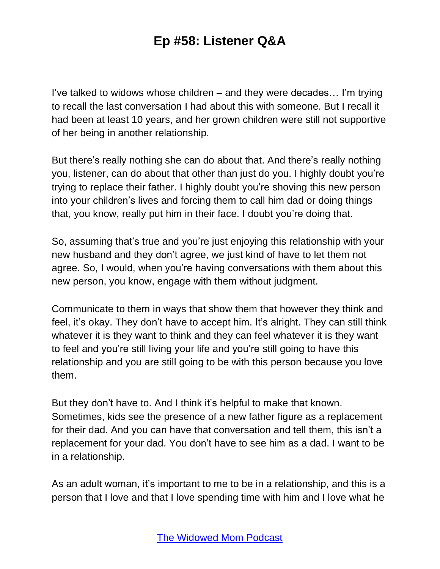I've talked to widows whose children – and they were decades… I'm trying to recall the last conversation I had about this with someone. But I recall it had been at least 10 years, and her grown children were still not supportive of her being in another relationship.

But there's really nothing she can do about that. And there's really nothing you, listener, can do about that other than just do you. I highly doubt you're trying to replace their father. I highly doubt you're shoving this new person into your children's lives and forcing them to call him dad or doing things that, you know, really put him in their face. I doubt you're doing that.

So, assuming that's true and you're just enjoying this relationship with your new husband and they don't agree, we just kind of have to let them not agree. So, I would, when you're having conversations with them about this new person, you know, engage with them without judgment.

Communicate to them in ways that show them that however they think and feel, it's okay. They don't have to accept him. It's alright. They can still think whatever it is they want to think and they can feel whatever it is they want to feel and you're still living your life and you're still going to have this relationship and you are still going to be with this person because you love them.

But they don't have to. And I think it's helpful to make that known. Sometimes, kids see the presence of a new father figure as a replacement for their dad. And you can have that conversation and tell them, this isn't a replacement for your dad. You don't have to see him as a dad. I want to be in a relationship.

As an adult woman, it's important to me to be in a relationship, and this is a person that I love and that I love spending time with him and I love what he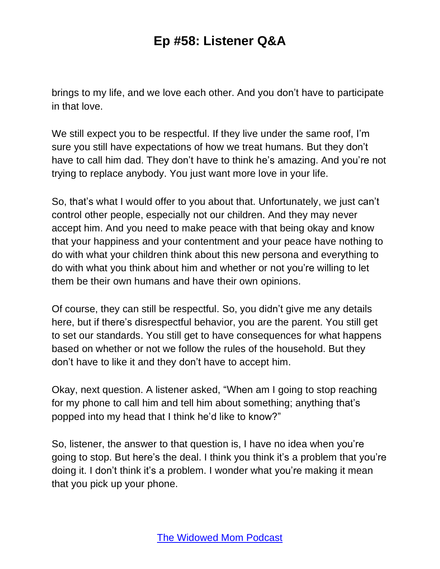brings to my life, and we love each other. And you don't have to participate in that love.

We still expect you to be respectful. If they live under the same roof, I'm sure you still have expectations of how we treat humans. But they don't have to call him dad. They don't have to think he's amazing. And you're not trying to replace anybody. You just want more love in your life.

So, that's what I would offer to you about that. Unfortunately, we just can't control other people, especially not our children. And they may never accept him. And you need to make peace with that being okay and know that your happiness and your contentment and your peace have nothing to do with what your children think about this new persona and everything to do with what you think about him and whether or not you're willing to let them be their own humans and have their own opinions.

Of course, they can still be respectful. So, you didn't give me any details here, but if there's disrespectful behavior, you are the parent. You still get to set our standards. You still get to have consequences for what happens based on whether or not we follow the rules of the household. But they don't have to like it and they don't have to accept him.

Okay, next question. A listener asked, "When am I going to stop reaching for my phone to call him and tell him about something; anything that's popped into my head that I think he'd like to know?"

So, listener, the answer to that question is, I have no idea when you're going to stop. But here's the deal. I think you think it's a problem that you're doing it. I don't think it's a problem. I wonder what you're making it mean that you pick up your phone.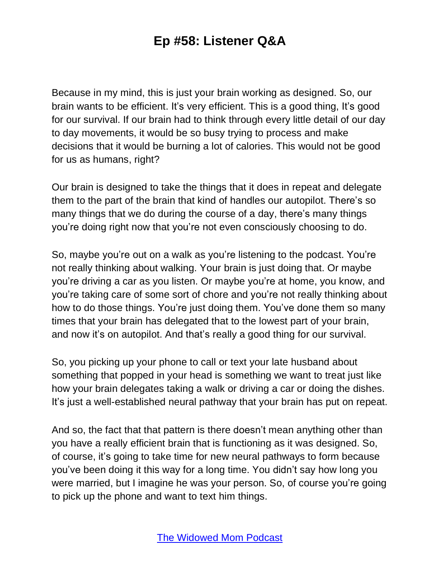Because in my mind, this is just your brain working as designed. So, our brain wants to be efficient. It's very efficient. This is a good thing, It's good for our survival. If our brain had to think through every little detail of our day to day movements, it would be so busy trying to process and make decisions that it would be burning a lot of calories. This would not be good for us as humans, right?

Our brain is designed to take the things that it does in repeat and delegate them to the part of the brain that kind of handles our autopilot. There's so many things that we do during the course of a day, there's many things you're doing right now that you're not even consciously choosing to do.

So, maybe you're out on a walk as you're listening to the podcast. You're not really thinking about walking. Your brain is just doing that. Or maybe you're driving a car as you listen. Or maybe you're at home, you know, and you're taking care of some sort of chore and you're not really thinking about how to do those things. You're just doing them. You've done them so many times that your brain has delegated that to the lowest part of your brain, and now it's on autopilot. And that's really a good thing for our survival.

So, you picking up your phone to call or text your late husband about something that popped in your head is something we want to treat just like how your brain delegates taking a walk or driving a car or doing the dishes. It's just a well-established neural pathway that your brain has put on repeat.

And so, the fact that that pattern is there doesn't mean anything other than you have a really efficient brain that is functioning as it was designed. So, of course, it's going to take time for new neural pathways to form because you've been doing it this way for a long time. You didn't say how long you were married, but I imagine he was your person. So, of course you're going to pick up the phone and want to text him things.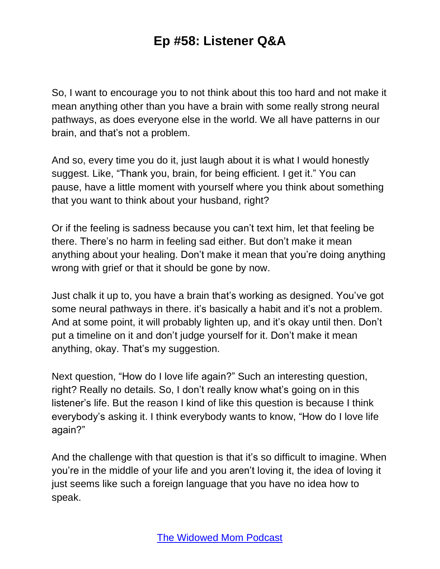So, I want to encourage you to not think about this too hard and not make it mean anything other than you have a brain with some really strong neural pathways, as does everyone else in the world. We all have patterns in our brain, and that's not a problem.

And so, every time you do it, just laugh about it is what I would honestly suggest. Like, "Thank you, brain, for being efficient. I get it." You can pause, have a little moment with yourself where you think about something that you want to think about your husband, right?

Or if the feeling is sadness because you can't text him, let that feeling be there. There's no harm in feeling sad either. But don't make it mean anything about your healing. Don't make it mean that you're doing anything wrong with grief or that it should be gone by now.

Just chalk it up to, you have a brain that's working as designed. You've got some neural pathways in there. it's basically a habit and it's not a problem. And at some point, it will probably lighten up, and it's okay until then. Don't put a timeline on it and don't judge yourself for it. Don't make it mean anything, okay. That's my suggestion.

Next question, "How do I love life again?" Such an interesting question, right? Really no details. So, I don't really know what's going on in this listener's life. But the reason I kind of like this question is because I think everybody's asking it. I think everybody wants to know, "How do I love life again?"

And the challenge with that question is that it's so difficult to imagine. When you're in the middle of your life and you aren't loving it, the idea of loving it just seems like such a foreign language that you have no idea how to speak.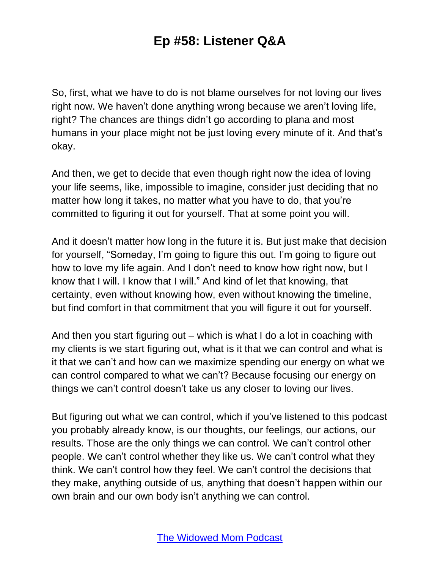So, first, what we have to do is not blame ourselves for not loving our lives right now. We haven't done anything wrong because we aren't loving life, right? The chances are things didn't go according to plana and most humans in your place might not be just loving every minute of it. And that's okay.

And then, we get to decide that even though right now the idea of loving your life seems, like, impossible to imagine, consider just deciding that no matter how long it takes, no matter what you have to do, that you're committed to figuring it out for yourself. That at some point you will.

And it doesn't matter how long in the future it is. But just make that decision for yourself, "Someday, I'm going to figure this out. I'm going to figure out how to love my life again. And I don't need to know how right now, but I know that I will. I know that I will." And kind of let that knowing, that certainty, even without knowing how, even without knowing the timeline, but find comfort in that commitment that you will figure it out for yourself.

And then you start figuring out – which is what I do a lot in coaching with my clients is we start figuring out, what is it that we can control and what is it that we can't and how can we maximize spending our energy on what we can control compared to what we can't? Because focusing our energy on things we can't control doesn't take us any closer to loving our lives.

But figuring out what we can control, which if you've listened to this podcast you probably already know, is our thoughts, our feelings, our actions, our results. Those are the only things we can control. We can't control other people. We can't control whether they like us. We can't control what they think. We can't control how they feel. We can't control the decisions that they make, anything outside of us, anything that doesn't happen within our own brain and our own body isn't anything we can control.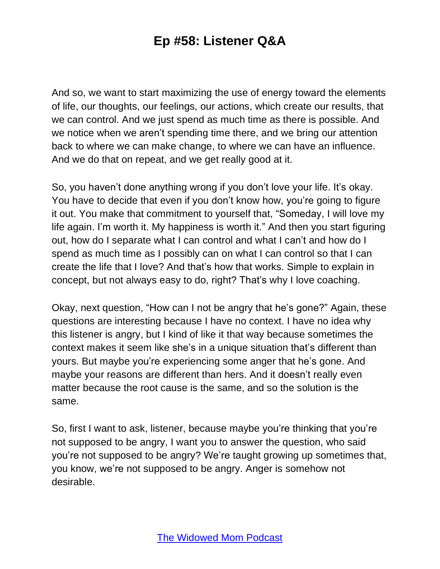And so, we want to start maximizing the use of energy toward the elements of life, our thoughts, our feelings, our actions, which create our results, that we can control. And we just spend as much time as there is possible. And we notice when we aren't spending time there, and we bring our attention back to where we can make change, to where we can have an influence. And we do that on repeat, and we get really good at it.

So, you haven't done anything wrong if you don't love your life. It's okay. You have to decide that even if you don't know how, you're going to figure it out. You make that commitment to yourself that, "Someday, I will love my life again. I'm worth it. My happiness is worth it." And then you start figuring out, how do I separate what I can control and what I can't and how do I spend as much time as I possibly can on what I can control so that I can create the life that I love? And that's how that works. Simple to explain in concept, but not always easy to do, right? That's why I love coaching.

Okay, next question, "How can I not be angry that he's gone?" Again, these questions are interesting because I have no context. I have no idea why this listener is angry, but I kind of like it that way because sometimes the context makes it seem like she's in a unique situation that's different than yours. But maybe you're experiencing some anger that he's gone. And maybe your reasons are different than hers. And it doesn't really even matter because the root cause is the same, and so the solution is the same.

So, first I want to ask, listener, because maybe you're thinking that you're not supposed to be angry, I want you to answer the question, who said you're not supposed to be angry? We're taught growing up sometimes that, you know, we're not supposed to be angry. Anger is somehow not desirable.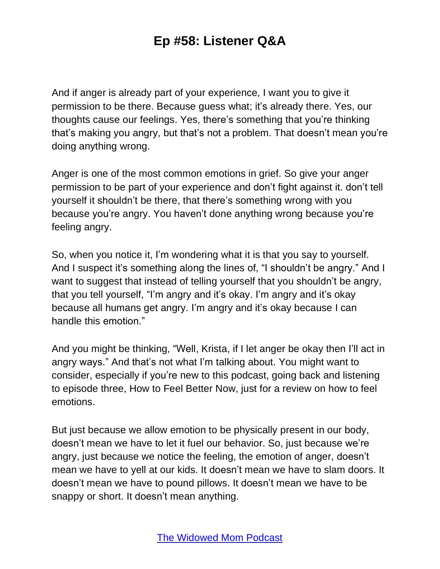And if anger is already part of your experience, I want you to give it permission to be there. Because guess what; it's already there. Yes, our thoughts cause our feelings. Yes, there's something that you're thinking that's making you angry, but that's not a problem. That doesn't mean you're doing anything wrong.

Anger is one of the most common emotions in grief. So give your anger permission to be part of your experience and don't fight against it. don't tell yourself it shouldn't be there, that there's something wrong with you because you're angry. You haven't done anything wrong because you're feeling angry.

So, when you notice it, I'm wondering what it is that you say to yourself. And I suspect it's something along the lines of, "I shouldn't be angry." And I want to suggest that instead of telling yourself that you shouldn't be angry, that you tell yourself, "I'm angry and it's okay. I'm angry and it's okay because all humans get angry. I'm angry and it's okay because I can handle this emotion."

And you might be thinking, "Well, Krista, if I let anger be okay then I'll act in angry ways." And that's not what I'm talking about. You might want to consider, especially if you're new to this podcast, going back and listening to episode three, How to Feel Better Now, just for a review on how to feel emotions.

But just because we allow emotion to be physically present in our body, doesn't mean we have to let it fuel our behavior. So, just because we're angry, just because we notice the feeling, the emotion of anger, doesn't mean we have to yell at our kids. It doesn't mean we have to slam doors. It doesn't mean we have to pound pillows. It doesn't mean we have to be snappy or short. It doesn't mean anything.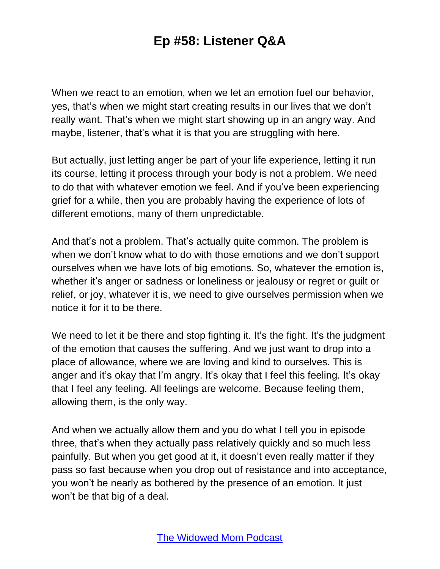When we react to an emotion, when we let an emotion fuel our behavior, yes, that's when we might start creating results in our lives that we don't really want. That's when we might start showing up in an angry way. And maybe, listener, that's what it is that you are struggling with here.

But actually, just letting anger be part of your life experience, letting it run its course, letting it process through your body is not a problem. We need to do that with whatever emotion we feel. And if you've been experiencing grief for a while, then you are probably having the experience of lots of different emotions, many of them unpredictable.

And that's not a problem. That's actually quite common. The problem is when we don't know what to do with those emotions and we don't support ourselves when we have lots of big emotions. So, whatever the emotion is, whether it's anger or sadness or loneliness or jealousy or regret or guilt or relief, or joy, whatever it is, we need to give ourselves permission when we notice it for it to be there.

We need to let it be there and stop fighting it. It's the fight. It's the judgment of the emotion that causes the suffering. And we just want to drop into a place of allowance, where we are loving and kind to ourselves. This is anger and it's okay that I'm angry. It's okay that I feel this feeling. It's okay that I feel any feeling. All feelings are welcome. Because feeling them, allowing them, is the only way.

And when we actually allow them and you do what I tell you in episode three, that's when they actually pass relatively quickly and so much less painfully. But when you get good at it, it doesn't even really matter if they pass so fast because when you drop out of resistance and into acceptance, you won't be nearly as bothered by the presence of an emotion. It just won't be that big of a deal.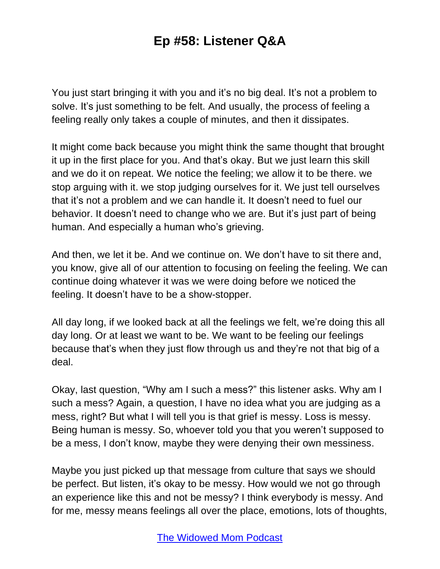You just start bringing it with you and it's no big deal. It's not a problem to solve. It's just something to be felt. And usually, the process of feeling a feeling really only takes a couple of minutes, and then it dissipates.

It might come back because you might think the same thought that brought it up in the first place for you. And that's okay. But we just learn this skill and we do it on repeat. We notice the feeling; we allow it to be there. we stop arguing with it. we stop judging ourselves for it. We just tell ourselves that it's not a problem and we can handle it. It doesn't need to fuel our behavior. It doesn't need to change who we are. But it's just part of being human. And especially a human who's grieving.

And then, we let it be. And we continue on. We don't have to sit there and, you know, give all of our attention to focusing on feeling the feeling. We can continue doing whatever it was we were doing before we noticed the feeling. It doesn't have to be a show-stopper.

All day long, if we looked back at all the feelings we felt, we're doing this all day long. Or at least we want to be. We want to be feeling our feelings because that's when they just flow through us and they're not that big of a deal.

Okay, last question, "Why am I such a mess?" this listener asks. Why am I such a mess? Again, a question, I have no idea what you are judging as a mess, right? But what I will tell you is that grief is messy. Loss is messy. Being human is messy. So, whoever told you that you weren't supposed to be a mess, I don't know, maybe they were denying their own messiness.

Maybe you just picked up that message from culture that says we should be perfect. But listen, it's okay to be messy. How would we not go through an experience like this and not be messy? I think everybody is messy. And for me, messy means feelings all over the place, emotions, lots of thoughts,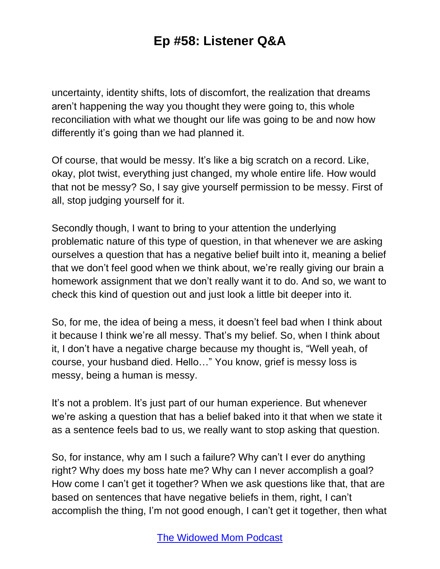uncertainty, identity shifts, lots of discomfort, the realization that dreams aren't happening the way you thought they were going to, this whole reconciliation with what we thought our life was going to be and now how differently it's going than we had planned it.

Of course, that would be messy. It's like a big scratch on a record. Like, okay, plot twist, everything just changed, my whole entire life. How would that not be messy? So, I say give yourself permission to be messy. First of all, stop judging yourself for it.

Secondly though, I want to bring to your attention the underlying problematic nature of this type of question, in that whenever we are asking ourselves a question that has a negative belief built into it, meaning a belief that we don't feel good when we think about, we're really giving our brain a homework assignment that we don't really want it to do. And so, we want to check this kind of question out and just look a little bit deeper into it.

So, for me, the idea of being a mess, it doesn't feel bad when I think about it because I think we're all messy. That's my belief. So, when I think about it, I don't have a negative charge because my thought is, "Well yeah, of course, your husband died. Hello…" You know, grief is messy loss is messy, being a human is messy.

It's not a problem. It's just part of our human experience. But whenever we're asking a question that has a belief baked into it that when we state it as a sentence feels bad to us, we really want to stop asking that question.

So, for instance, why am I such a failure? Why can't I ever do anything right? Why does my boss hate me? Why can I never accomplish a goal? How come I can't get it together? When we ask questions like that, that are based on sentences that have negative beliefs in them, right, I can't accomplish the thing, I'm not good enough, I can't get it together, then what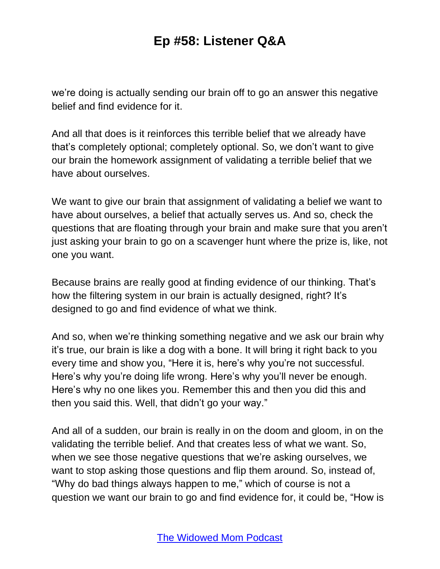we're doing is actually sending our brain off to go an answer this negative belief and find evidence for it.

And all that does is it reinforces this terrible belief that we already have that's completely optional; completely optional. So, we don't want to give our brain the homework assignment of validating a terrible belief that we have about ourselves.

We want to give our brain that assignment of validating a belief we want to have about ourselves, a belief that actually serves us. And so, check the questions that are floating through your brain and make sure that you aren't just asking your brain to go on a scavenger hunt where the prize is, like, not one you want.

Because brains are really good at finding evidence of our thinking. That's how the filtering system in our brain is actually designed, right? It's designed to go and find evidence of what we think.

And so, when we're thinking something negative and we ask our brain why it's true, our brain is like a dog with a bone. It will bring it right back to you every time and show you, "Here it is, here's why you're not successful. Here's why you're doing life wrong. Here's why you'll never be enough. Here's why no one likes you. Remember this and then you did this and then you said this. Well, that didn't go your way."

And all of a sudden, our brain is really in on the doom and gloom, in on the validating the terrible belief. And that creates less of what we want. So, when we see those negative questions that we're asking ourselves, we want to stop asking those questions and flip them around. So, instead of, "Why do bad things always happen to me," which of course is not a question we want our brain to go and find evidence for, it could be, "How is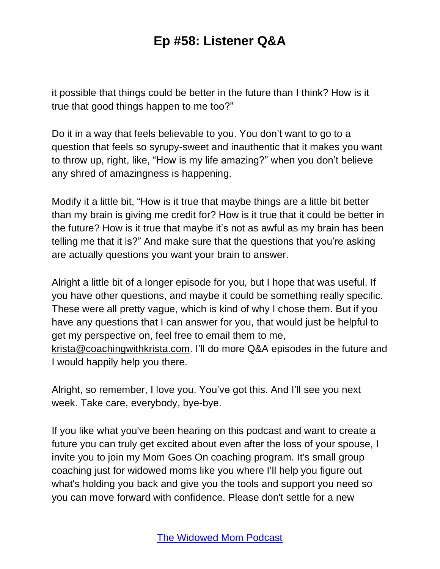it possible that things could be better in the future than I think? How is it true that good things happen to me too?"

Do it in a way that feels believable to you. You don't want to go to a question that feels so syrupy-sweet and inauthentic that it makes you want to throw up, right, like, "How is my life amazing?" when you don't believe any shred of amazingness is happening.

Modify it a little bit, "How is it true that maybe things are a little bit better than my brain is giving me credit for? How is it true that it could be better in the future? How is it true that maybe it's not as awful as my brain has been telling me that it is?" And make sure that the questions that you're asking are actually questions you want your brain to answer.

Alright a little bit of a longer episode for you, but I hope that was useful. If you have other questions, and maybe it could be something really specific. These were all pretty vague, which is kind of why I chose them. But if you have any questions that I can answer for you, that would just be helpful to get my perspective on, feel free to email them to me, [krista@coachingwithkrista.com.](mailto:krista@coachingwithkrista.com) I'll do more Q&A episodes in the future and I would happily help you there.

Alright, so remember, I love you. You've got this. And I'll see you next week. Take care, everybody, bye-bye.

If you like what you've been hearing on this podcast and want to create a future you can truly get excited about even after the loss of your spouse, I invite you to join my Mom Goes On coaching program. It's small group coaching just for widowed moms like you where I'll help you figure out what's holding you back and give you the tools and support you need so you can move forward with confidence. Please don't settle for a new